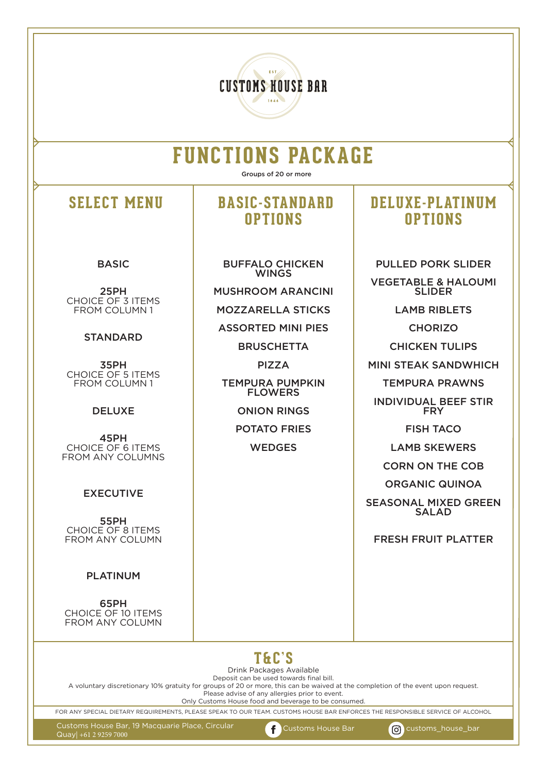# **CUSTOMS HOUSE BAR**

# **FUNCTIONS PACKAGE**

Groups of 20 or more

#### BASIC

25PH CHOICE OF 3 ITEMS FROM COLUMN 1

#### **STANDARD**

35PH CHOICE OF 5 ITEMS FROM COLUMN 1

#### DELUXE

45PH CHOICE OF 6 ITEMS FROM ANY COLUMNS

#### EXECUTIVE

55PH CHOICE OF 8 ITEMS FROM ANY COLUMN

#### PLATINUM

65PH CHOICE OF 10 ITEMS FROM ANY COLUMN

# **SELECT MENU BASIC-STANDARD OPTIONS**

BUFFALO CHICKEN WINGS MUSHROOM ARANCINI

MOZZARELLA STICKS

ASSORTED MINI PIES

**BRUSCHETTA** 

PIZZA

TEMPURA PUMPKIN **FLOWERS** 

ONION RINGS

POTATO FRIES

**WEDGES** 

### **DELUXE-PLATINUM OPTIONS**

PULLED PORK SLIDER VEGETABLE & HALOUMI SLIDER LAMB RIBLETS **CHORIZO** CHICKEN TULIPS MINI STEAK SANDWHICH TEMPURA PRAWNS INDIVIDUAL BEEF STIR FRY FISH TACO LAMB SKEWERS CORN ON THE COB ORGANIC QUINOA SEASONAL MIXED GREEN SALAD

FRESH FRUIT PLATTER



Drink Packages Available Deposit can be used towards final bill.

A voluntary discretionary 10% gratuity for groups of 20 or more, this can be waived at the completion of the event upon request.

Please advise of any allergies prior to event.

Only Customs House food and beverage to be consumed.

FOR ANY SPECIAL DIETARY REQUIREMENTS, PLEASE SPEAK TO OUR TEAM. CUSTOMS HOUSE BAR ENFORCES THE RESPONSIBLE SERVICE OF ALCOHOL

Customs House Bar, 19 Macquarie Place, Circular Quay| +61 2 9259 7000

f

Customs House Bar **customs\_house\_bar**